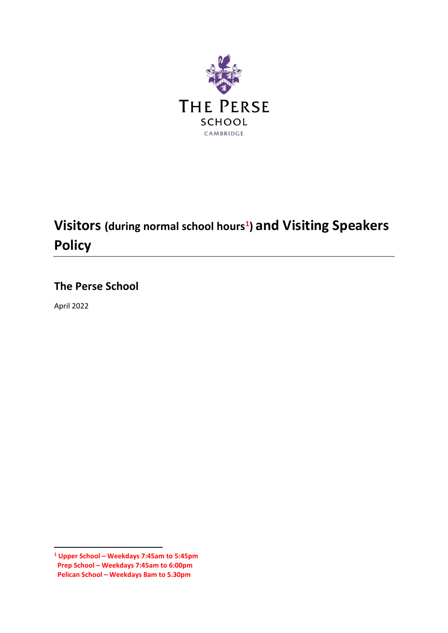

# **Visitors (during normal school hours<sup>1</sup> ) and Visiting Speakers Policy**

# **The Perse School**

April 2022

**.** 

**<sup>1</sup> Upper School – Weekdays 7:45am to 5:45pm Prep School – Weekdays 7:45am to 6:00pm Pelican School – Weekdays 8am to 5.30pm**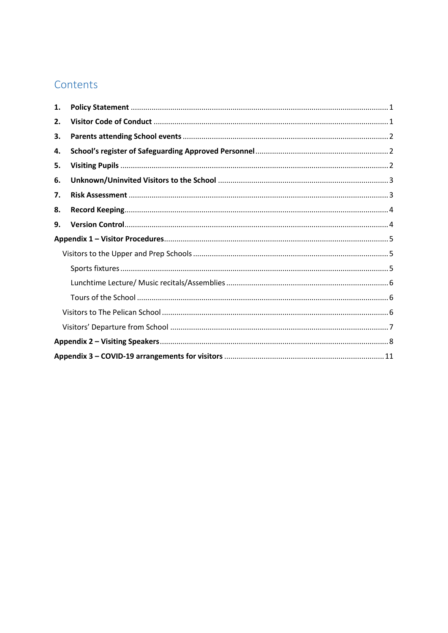# Contents

| 1. |  |  |
|----|--|--|
| 2. |  |  |
| З. |  |  |
| 4. |  |  |
| 5. |  |  |
| 6. |  |  |
| 7. |  |  |
| 8. |  |  |
| 9. |  |  |
|    |  |  |
|    |  |  |
|    |  |  |
|    |  |  |
|    |  |  |
|    |  |  |
|    |  |  |
|    |  |  |
|    |  |  |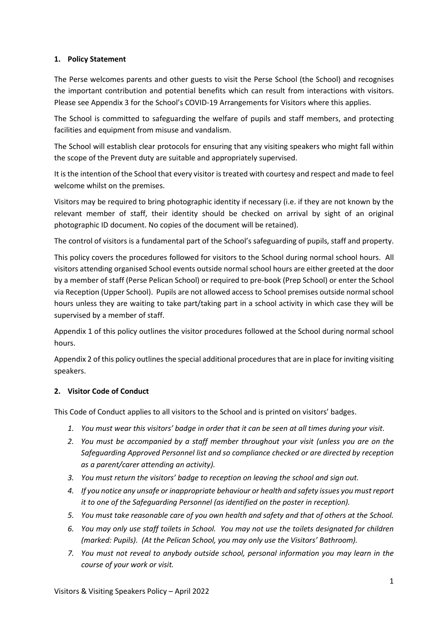#### <span id="page-2-0"></span>**1. Policy Statement**

The Perse welcomes parents and other guests to visit the Perse School (the School) and recognises the important contribution and potential benefits which can result from interactions with visitors. Please see Appendix 3 for the School's COVID-19 Arrangements for Visitors where this applies.

The School is committed to safeguarding the welfare of pupils and staff members, and protecting facilities and equipment from misuse and vandalism.

The School will establish clear protocols for ensuring that any visiting speakers who might fall within the scope of the Prevent duty are suitable and appropriately supervised.

It is the intention of the School that every visitor is treated with courtesy and respect and made to feel welcome whilst on the premises.

Visitors may be required to bring photographic identity if necessary (i.e. if they are not known by the relevant member of staff, their identity should be checked on arrival by sight of an original photographic ID document. No copies of the document will be retained).

The control of visitors is a fundamental part of the School's safeguarding of pupils, staff and property.

This policy covers the procedures followed for visitors to the School during normal school hours. All visitors attending organised School events outside normal school hours are either greeted at the door by a member of staff (Perse Pelican School) or required to pre-book (Prep School) or enter the School via Reception (Upper School). Pupils are not allowed access to School premises outside normal school hours unless they are waiting to take part/taking part in a school activity in which case they will be supervised by a member of staff.

Appendix 1 of this policy outlines the visitor procedures followed at the School during normal school hours.

Appendix 2 of this policy outlines the special additional procedures that are in place for inviting visiting speakers.

#### <span id="page-2-1"></span>**2. Visitor Code of Conduct**

This Code of Conduct applies to all visitors to the School and is printed on visitors' badges.

- *1. You must wear this visitors' badge in order that it can be seen at all times during your visit.*
- *2. You must be accompanied by a staff member throughout your visit (unless you are on the Safeguarding Approved Personnel list and so compliance checked or are directed by reception as a parent/carer attending an activity).*
- *3. You must return the visitors' badge to reception on leaving the school and sign out.*
- *4. If you notice any unsafe or inappropriate behaviour or health and safety issues you must report it to one of the Safeguarding Personnel (as identified on the poster in reception).*
- *5. You must take reasonable care of you own health and safety and that of others at the School.*
- *6. You may only use staff toilets in School. You may not use the toilets designated for children (marked: Pupils). (At the Pelican School, you may only use the Visitors' Bathroom).*
- *7. You must not reveal to anybody outside school, personal information you may learn in the course of your work or visit.*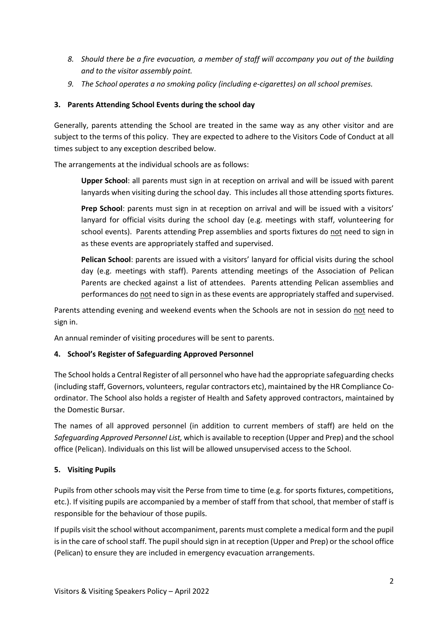- *8. Should there be a fire evacuation, a member of staff will accompany you out of the building and to the visitor assembly point.*
- *9. The School operates a no smoking policy (including e-cigarettes) on all school premises.*

#### <span id="page-3-0"></span>**3. Parents Attending School Events during the school day**

Generally, parents attending the School are treated in the same way as any other visitor and are subject to the terms of this policy. They are expected to adhere to the Visitors Code of Conduct at all times subject to any exception described below.

The arrangements at the individual schools are as follows:

**Upper School**: all parents must sign in at reception on arrival and will be issued with parent lanyards when visiting during the school day. This includes all those attending sports fixtures.

**Prep School**: parents must sign in at reception on arrival and will be issued with a visitors' lanyard for official visits during the school day (e.g. meetings with staff, volunteering for school events). Parents attending Prep assemblies and sports fixtures do not need to sign in as these events are appropriately staffed and supervised.

**Pelican School**: parents are issued with a visitors' lanyard for official visits during the school day (e.g. meetings with staff). Parents attending meetings of the Association of Pelican Parents are checked against a list of attendees. Parents attending Pelican assemblies and performances do not need to sign in as these events are appropriately staffed and supervised.

Parents attending evening and weekend events when the Schools are not in session do not need to sign in.

An annual reminder of visiting procedures will be sent to parents.

#### <span id="page-3-1"></span>**4. School's Register of Safeguarding Approved Personnel**

The School holds a Central Register of all personnel who have had the appropriate safeguarding checks (including staff, Governors, volunteers, regular contractors etc), maintained by the HR Compliance Coordinator. The School also holds a register of Health and Safety approved contractors, maintained by the Domestic Bursar.

The names of all approved personnel (in addition to current members of staff) are held on the *Safeguarding Approved Personnel List,* which is available to reception (Upper and Prep) and the school office (Pelican). Individuals on this list will be allowed unsupervised access to the School.

#### <span id="page-3-2"></span>**5. Visiting Pupils**

Pupils from other schools may visit the Perse from time to time (e.g. for sports fixtures, competitions, etc.). If visiting pupils are accompanied by a member of staff from that school, that member of staff is responsible for the behaviour of those pupils.

If pupils visit the school without accompaniment, parents must complete a medical form and the pupil is in the care of school staff. The pupil should sign in at reception (Upper and Prep) or the school office (Pelican) to ensure they are included in emergency evacuation arrangements.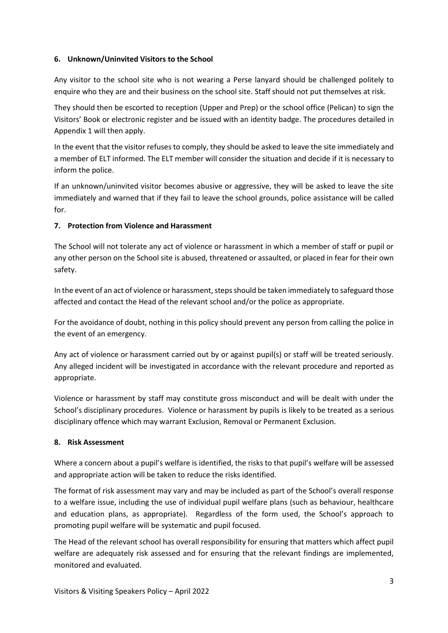#### <span id="page-4-0"></span>**6. Unknown/Uninvited Visitors to the School**

Any visitor to the school site who is not wearing a Perse lanyard should be challenged politely to enquire who they are and their business on the school site. Staff should not put themselves at risk.

They should then be escorted to reception (Upper and Prep) or the school office (Pelican) to sign the Visitors' Book or electronic register and be issued with an identity badge. The procedures detailed in Appendix 1 will then apply.

In the event that the visitor refuses to comply, they should be asked to leave the site immediately and a member of ELT informed. The ELT member will consider the situation and decide if it is necessary to inform the police.

If an unknown/uninvited visitor becomes abusive or aggressive, they will be asked to leave the site immediately and warned that if they fail to leave the school grounds, police assistance will be called for.

#### **7. Protection from Violence and Harassment**

The School will not tolerate any act of violence or harassment in which a member of staff or pupil or any other person on the School site is abused, threatened or assaulted, or placed in fear for their own safety.

In the event of an act of violence or harassment, steps should be taken immediately to safeguard those affected and contact the Head of the relevant school and/or the police as appropriate.

For the avoidance of doubt, nothing in this policy should prevent any person from calling the police in the event of an emergency.

Any act of violence or harassment carried out by or against pupil(s) or staff will be treated seriously. Any alleged incident will be investigated in accordance with the relevant procedure and reported as appropriate.

Violence or harassment by staff may constitute gross misconduct and will be dealt with under the School's disciplinary procedures. Violence or harassment by pupils is likely to be treated as a serious disciplinary offence which may warrant Exclusion, Removal or Permanent Exclusion.

#### <span id="page-4-1"></span>**8. Risk Assessment**

Where a concern about a pupil's welfare is identified, the risks to that pupil's welfare will be assessed and appropriate action will be taken to reduce the risks identified.

The format of risk assessment may vary and may be included as part of the School's overall response to a welfare issue, including the use of individual pupil welfare plans (such as behaviour, healthcare and education plans, as appropriate). Regardless of the form used, the School's approach to promoting pupil welfare will be systematic and pupil focused.

The Head of the relevant school has overall responsibility for ensuring that matters which affect pupil welfare are adequately risk assessed and for ensuring that the relevant findings are implemented, monitored and evaluated.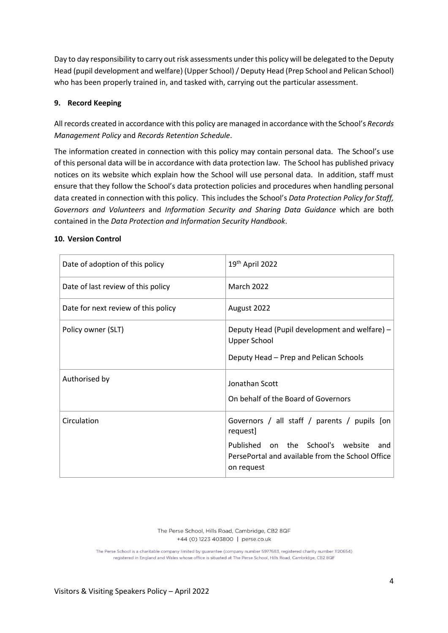Day to day responsibility to carry out risk assessments under this policy will be delegated to the Deputy Head (pupil development and welfare) (Upper School) / Deputy Head (Prep School and Pelican School) who has been properly trained in, and tasked with, carrying out the particular assessment.

#### <span id="page-5-0"></span>**9. Record Keeping**

All records created in accordance with this policy are managed in accordance with the School's *Records Management Policy* and *Records Retention Schedule*.

The information created in connection with this policy may contain personal data. The School's use of this personal data will be in accordance with data protection law. The School has published privacy notices on its website which explain how the School will use personal data. In addition, staff must ensure that they follow the School's data protection policies and procedures when handling personal data created in connection with this policy. This includes the School's *Data Protection Policy for Staff, Governors and Volunteers* and *Information Security and Sharing Data Guidance* which are both contained in the *Data Protection and Information Security Handbook*.

#### <span id="page-5-1"></span>**10. Version Control**

| Date of adoption of this policy     | 19 <sup>th</sup> April 2022                                                                                                                                            |
|-------------------------------------|------------------------------------------------------------------------------------------------------------------------------------------------------------------------|
| Date of last review of this policy  | <b>March 2022</b>                                                                                                                                                      |
| Date for next review of this policy | August 2022                                                                                                                                                            |
| Policy owner (SLT)                  | Deputy Head (Pupil development and welfare) -<br>Upper School<br>Deputy Head – Prep and Pelican Schools                                                                |
| Authorised by                       | Jonathan Scott<br>On behalf of the Board of Governors                                                                                                                  |
| Circulation                         | Governors / all staff / parents / pupils [on<br>request]<br>Published on the School's website<br>and<br>PersePortal and available from the School Office<br>on request |

The Perse School, Hills Road, Cambridge, CB2 8QF +44 (0) 1223 403800 | perse.co.uk

The Perse School is a charitable company limited by guarantee (company number 5977683, registered charity number 1120654) registered in England and Wales whose office is situated at The Perse School, Hills Road, Cambridge, CB2 8QF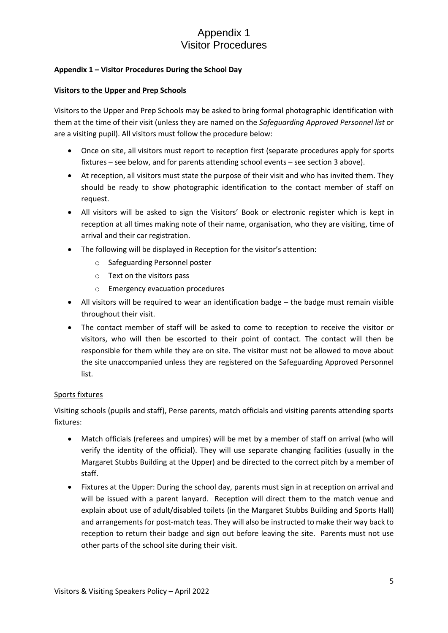# Appendix 1 Visitor Procedures

#### <span id="page-6-0"></span>**Appendix 1 – Visitor Procedures During the School Day**

#### <span id="page-6-1"></span>**Visitors to the Upper and Prep Schools**

Visitors to the Upper and Prep Schools may be asked to bring formal photographic identification with them at the time of their visit (unless they are named on the *Safeguarding Approved Personnel list* or are a visiting pupil). All visitors must follow the procedure below:

- Once on site, all visitors must report to reception first (separate procedures apply for sports fixtures – see below, and for parents attending school events – see sectio[n 3](#page-3-0) above).
- At reception, all visitors must state the purpose of their visit and who has invited them. They should be ready to show photographic identification to the contact member of staff on request.
- All visitors will be asked to sign the Visitors' Book or electronic register which is kept in reception at all times making note of their name, organisation, who they are visiting, time of arrival and their car registration.
- The following will be displayed in Reception for the visitor's attention:
	- o Safeguarding Personnel poster
	- o Text on the visitors pass
	- o Emergency evacuation procedures
- All visitors will be required to wear an identification badge the badge must remain visible throughout their visit.
- The contact member of staff will be asked to come to reception to receive the visitor or visitors, who will then be escorted to their point of contact. The contact will then be responsible for them while they are on site. The visitor must not be allowed to move about the site unaccompanied unless they are registered on the Safeguarding Approved Personnel list.

#### <span id="page-6-2"></span>Sports fixtures

Visiting schools (pupils and staff), Perse parents, match officials and visiting parents attending sports fixtures:

- Match officials (referees and umpires) will be met by a member of staff on arrival (who will verify the identity of the official). They will use separate changing facilities (usually in the Margaret Stubbs Building at the Upper) and be directed to the correct pitch by a member of staff.
- Fixtures at the Upper: During the school day, parents must sign in at reception on arrival and will be issued with a parent lanyard. Reception will direct them to the match venue and explain about use of adult/disabled toilets (in the Margaret Stubbs Building and Sports Hall) and arrangements for post-match teas. They will also be instructed to make their way back to reception to return their badge and sign out before leaving the site. Parents must not use other parts of the school site during their visit.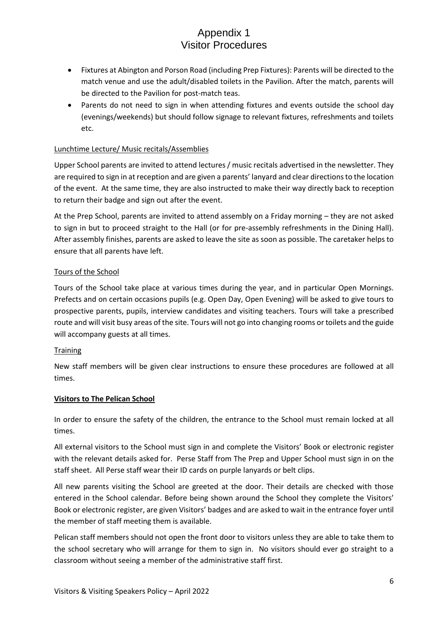# Appendix 1 Visitor Procedures

- Fixtures at Abington and Porson Road (including Prep Fixtures): Parents will be directed to the match venue and use the adult/disabled toilets in the Pavilion. After the match, parents will be directed to the Pavilion for post-match teas.
- Parents do not need to sign in when attending fixtures and events outside the school day (evenings/weekends) but should follow signage to relevant fixtures, refreshments and toilets etc.

#### <span id="page-7-0"></span>Lunchtime Lecture/ Music recitals/Assemblies

Upper School parents are invited to attend lectures / music recitals advertised in the newsletter. They are required to sign in at reception and are given a parents' lanyard and clear directions to the location of the event. At the same time, they are also instructed to make their way directly back to reception to return their badge and sign out after the event.

At the Prep School, parents are invited to attend assembly on a Friday morning – they are not asked to sign in but to proceed straight to the Hall (or for pre-assembly refreshments in the Dining Hall). After assembly finishes, parents are asked to leave the site as soon as possible. The caretaker helps to ensure that all parents have left.

#### <span id="page-7-1"></span>Tours of the School

Tours of the School take place at various times during the year, and in particular Open Mornings. Prefects and on certain occasions pupils (e.g. Open Day, Open Evening) will be asked to give tours to prospective parents, pupils, interview candidates and visiting teachers. Tours will take a prescribed route and will visit busy areas of the site. Tours will not go into changing rooms or toilets and the guide will accompany guests at all times.

#### **Training**

New staff members will be given clear instructions to ensure these procedures are followed at all times.

#### <span id="page-7-2"></span>**Visitors to The Pelican School**

In order to ensure the safety of the children, the entrance to the School must remain locked at all times.

All external visitors to the School must sign in and complete the Visitors' Book or electronic register with the relevant details asked for. Perse Staff from The Prep and Upper School must sign in on the staff sheet. All Perse staff wear their ID cards on purple lanyards or belt clips.

All new parents visiting the School are greeted at the door. Their details are checked with those entered in the School calendar. Before being shown around the School they complete the Visitors' Book or electronic register, are given Visitors' badges and are asked to wait in the entrance foyer until the member of staff meeting them is available.

Pelican staff members should not open the front door to visitors unless they are able to take them to the school secretary who will arrange for them to sign in. No visitors should ever go straight to a classroom without seeing a member of the administrative staff first.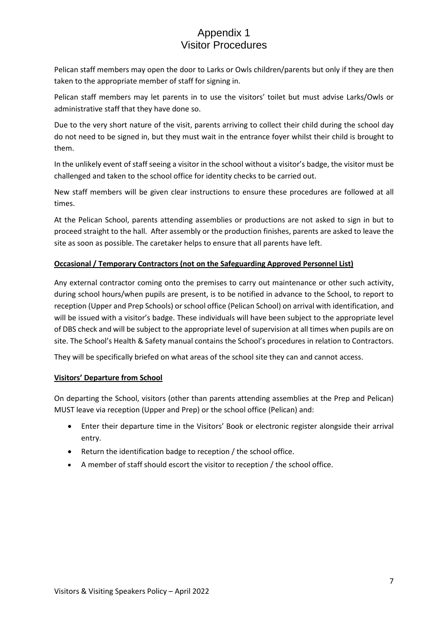# Appendix 1 Visitor Procedures

Pelican staff members may open the door to Larks or Owls children/parents but only if they are then taken to the appropriate member of staff for signing in.

Pelican staff members may let parents in to use the visitors' toilet but must advise Larks/Owls or administrative staff that they have done so.

Due to the very short nature of the visit, parents arriving to collect their child during the school day do not need to be signed in, but they must wait in the entrance foyer whilst their child is brought to them.

In the unlikely event of staff seeing a visitor in the school without a visitor's badge, the visitor must be challenged and taken to the school office for identity checks to be carried out.

New staff members will be given clear instructions to ensure these procedures are followed at all times.

At the Pelican School, parents attending assemblies or productions are not asked to sign in but to proceed straight to the hall. After assembly or the production finishes, parents are asked to leave the site as soon as possible. The caretaker helps to ensure that all parents have left.

#### <span id="page-8-0"></span>**Occasional / Temporary Contractors (not on the Safeguarding Approved Personnel List)**

Any external contractor coming onto the premises to carry out maintenance or other such activity, during school hours/when pupils are present, is to be notified in advance to the School, to report to reception (Upper and Prep Schools) or school office (Pelican School) on arrival with identification, and will be issued with a visitor's badge. These individuals will have been subject to the appropriate level of DBS check and will be subject to the appropriate level of supervision at all times when pupils are on site. The School's Health & Safety manual contains the School's procedures in relation to Contractors.

They will be specifically briefed on what areas of the school site they can and cannot access.

#### **Visitors' Departure from School**

On departing the School, visitors (other than parents attending assemblies at the Prep and Pelican) MUST leave via reception (Upper and Prep) or the school office (Pelican) and:

- Enter their departure time in the Visitors' Book or electronic register alongside their arrival entry.
- Return the identification badge to reception / the school office.
- A member of staff should escort the visitor to reception / the school office.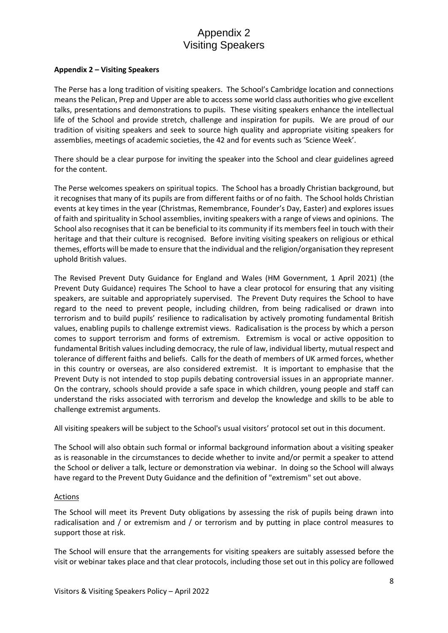# Appendix 2 Visiting Speakers

#### <span id="page-9-0"></span>**Appendix 2 – Visiting Speakers**

The Perse has a long tradition of visiting speakers. The School's Cambridge location and connections means the Pelican, Prep and Upper are able to access some world class authorities who give excellent talks, presentations and demonstrations to pupils. These visiting speakers enhance the intellectual life of the School and provide stretch, challenge and inspiration for pupils. We are proud of our tradition of visiting speakers and seek to source high quality and appropriate visiting speakers for assemblies, meetings of academic societies, the 42 and for events such as 'Science Week'.

There should be a clear purpose for inviting the speaker into the School and clear guidelines agreed for the content.

The Perse welcomes speakers on spiritual topics. The School has a broadly Christian background, but it recognises that many of its pupils are from different faiths or of no faith. The School holds Christian events at key times in the year (Christmas, Remembrance, Founder's Day, Easter) and explores issues of faith and spirituality in School assemblies, inviting speakers with a range of views and opinions. The School also recognises that it can be beneficial to its community if its members feel in touch with their heritage and that their culture is recognised. Before inviting visiting speakers on religious or ethical themes, efforts will be made to ensure that the individual and the religion/organisation they represent uphold British values.

The Revised Prevent Duty Guidance for England and Wales (HM Government, 1 April 2021) (the Prevent Duty Guidance) requires The School to have a clear protocol for ensuring that any visiting speakers, are suitable and appropriately supervised. The Prevent Duty requires the School to have regard to the need to prevent people, including children, from being radicalised or drawn into terrorism and to build pupils' resilience to radicalisation by actively promoting fundamental British values, enabling pupils to challenge extremist views. Radicalisation is the process by which a person comes to support terrorism and forms of extremism. Extremism is vocal or active opposition to fundamental British values including democracy, the rule of law, individual liberty, mutual respect and tolerance of different faiths and beliefs. Calls for the death of members of UK armed forces, whether in this country or overseas, are also considered extremist. It is important to emphasise that the Prevent Duty is not intended to stop pupils debating controversial issues in an appropriate manner. On the contrary, schools should provide a safe space in which children, young people and staff can understand the risks associated with terrorism and develop the knowledge and skills to be able to challenge extremist arguments.

All visiting speakers will be subject to the School's usual visitors' protocol set out in this document.

The School will also obtain such formal or informal background information about a visiting speaker as is reasonable in the circumstances to decide whether to invite and/or permit a speaker to attend the School or deliver a talk, lecture or demonstration via webinar. In doing so the School will always have regard to the Prevent Duty Guidance and the definition of "extremism" set out above.

#### **Actions**

The School will meet its Prevent Duty obligations by assessing the risk of pupils being drawn into radicalisation and / or extremism and / or terrorism and by putting in place control measures to support those at risk.

The School will ensure that the arrangements for visiting speakers are suitably assessed before the visit or webinar takes place and that clear protocols, including those set out in this policy are followed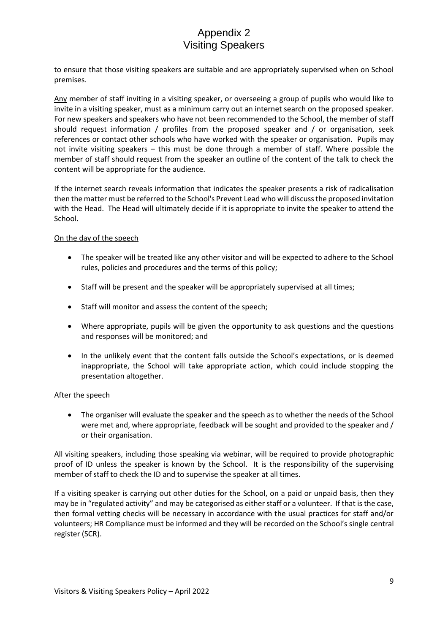# Appendix 2 Visiting Speakers

to ensure that those visiting speakers are suitable and are appropriately supervised when on School premises.

Any member of staff inviting in a visiting speaker, or overseeing a group of pupils who would like to invite in a visiting speaker, must as a minimum carry out an internet search on the proposed speaker. For new speakers and speakers who have not been recommended to the School, the member of staff should request information / profiles from the proposed speaker and / or organisation, seek references or contact other schools who have worked with the speaker or organisation. Pupils may not invite visiting speakers – this must be done through a member of staff. Where possible the member of staff should request from the speaker an outline of the content of the talk to check the content will be appropriate for the audience.

If the internet search reveals information that indicates the speaker presents a risk of radicalisation then the matter must be referred to the School's Prevent Lead who will discuss the proposed invitation with the Head. The Head will ultimately decide if it is appropriate to invite the speaker to attend the School.

#### On the day of the speech

- The speaker will be treated like any other visitor and will be expected to adhere to the School rules, policies and procedures and the terms of this policy;
- Staff will be present and the speaker will be appropriately supervised at all times;
- Staff will monitor and assess the content of the speech;
- Where appropriate, pupils will be given the opportunity to ask questions and the questions and responses will be monitored; and
- In the unlikely event that the content falls outside the School's expectations, or is deemed inappropriate, the School will take appropriate action, which could include stopping the presentation altogether.

#### After the speech

• The organiser will evaluate the speaker and the speech as to whether the needs of the School were met and, where appropriate, feedback will be sought and provided to the speaker and / or their organisation.

All visiting speakers, including those speaking via webinar, will be required to provide photographic proof of ID unless the speaker is known by the School. It is the responsibility of the supervising member of staff to check the ID and to supervise the speaker at all times.

If a visiting speaker is carrying out other duties for the School, on a paid or unpaid basis, then they may be in "regulated activity" and may be categorised as either staff or a volunteer. If that is the case, then formal vetting checks will be necessary in accordance with the usual practices for staff and/or volunteers; HR Compliance must be informed and they will be recorded on the School's single central register (SCR).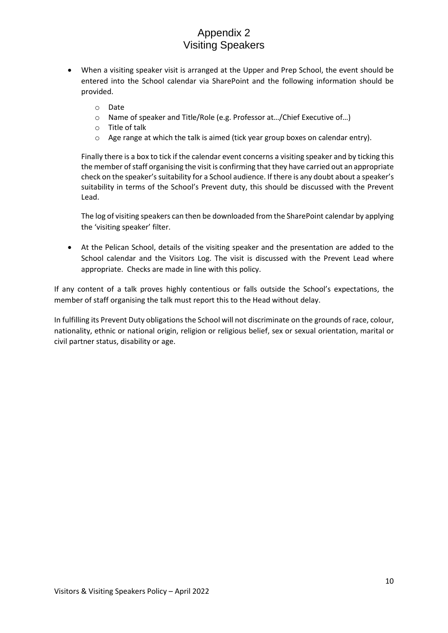# Appendix 2 Visiting Speakers

- When a visiting speaker visit is arranged at the Upper and Prep School, the event should be entered into the School calendar via SharePoint and the following information should be provided.
	- o Date
	- o Name of speaker and Title/Role (e.g. Professor at…/Chief Executive of…)
	- o Title of talk
	- o Age range at which the talk is aimed (tick year group boxes on calendar entry).

Finally there is a box to tick if the calendar event concerns a visiting speaker and by ticking this the member of staff organising the visit is confirming that they have carried out an appropriate check on the speaker's suitability for a School audience. If there is any doubt about a speaker's suitability in terms of the School's Prevent duty, this should be discussed with the Prevent Lead.

The log of visiting speakers can then be downloaded from the SharePoint calendar by applying the 'visiting speaker' filter.

• At the Pelican School, details of the visiting speaker and the presentation are added to the School calendar and the Visitors Log. The visit is discussed with the Prevent Lead where appropriate. Checks are made in line with this policy.

If any content of a talk proves highly contentious or falls outside the School's expectations, the member of staff organising the talk must report this to the Head without delay.

In fulfilling its Prevent Duty obligations the School will not discriminate on the grounds of race, colour, nationality, ethnic or national origin, religion or religious belief, sex or sexual orientation, marital or civil partner status, disability or age.